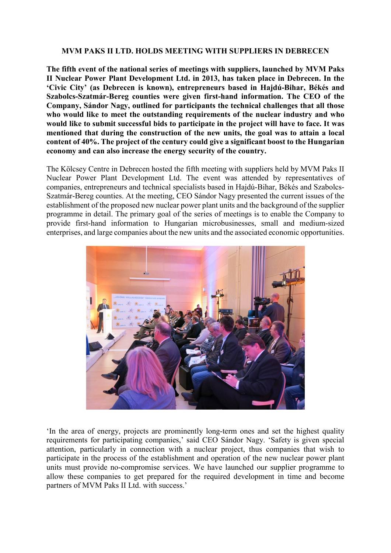## **MVM PAKS II LTD. HOLDS MEETING WITH SUPPLIERS IN DEBRECEN**

**The fifth event of the national series of meetings with suppliers, launched by MVM Paks II Nuclear Power Plant Development Ltd. in 2013, has taken place in Debrecen. In the 'Civic City' (as Debrecen is known), entrepreneurs based in Hajdú-Bihar, Békés and Szabolcs-Szatmár-Bereg counties were given first-hand information. The CEO of the Company, Sándor Nagy, outlined for participants the technical challenges that all those who would like to meet the outstanding requirements of the nuclear industry and who would like to submit successful bids to participate in the project will have to face. It was mentioned that during the construction of the new units, the goal was to attain a local content of 40%. The project of the century could give a significant boost to the Hungarian economy and can also increase the energy security of the country.**

The Kölcsey Centre in Debrecen hosted the fifth meeting with suppliers held by MVM Paks II Nuclear Power Plant Development Ltd. The event was attended by representatives of companies, entrepreneurs and technical specialists based in Hajdú-Bihar, Békés and Szabolcs-Szatmár-Bereg counties. At the meeting, CEO Sándor Nagy presented the current issues of the establishment of the proposed new nuclear power plant units and the background of the supplier programme in detail. The primary goal of the series of meetings is to enable the Company to provide first-hand information to Hungarian microbusinesses, small and medium-sized enterprises, and large companies about the new units and the associated economic opportunities.



'In the area of energy, projects are prominently long-term ones and set the highest quality requirements for participating companies,' said CEO Sándor Nagy. 'Safety is given special attention, particularly in connection with a nuclear project, thus companies that wish to participate in the process of the establishment and operation of the new nuclear power plant units must provide no-compromise services. We have launched our supplier programme to allow these companies to get prepared for the required development in time and become partners of MVM Paks II Ltd. with success.'